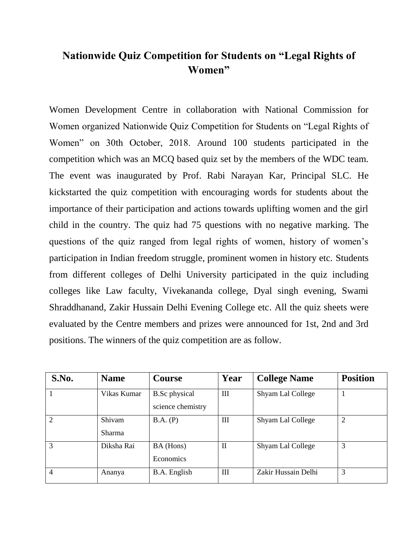## **Nationwide Quiz Competition for Students on "Legal Rights of Women"**

Women Development Centre in collaboration with National Commission for Women organized Nationwide Quiz Competition for Students on "Legal Rights of Women" on 30th October, 2018. Around 100 students participated in the competition which was an MCQ based quiz set by the members of the WDC team. The event was inaugurated by Prof. Rabi Narayan Kar, Principal SLC. He kickstarted the quiz competition with encouraging words for students about the importance of their participation and actions towards uplifting women and the girl child in the country. The quiz had 75 questions with no negative marking. The questions of the quiz ranged from legal rights of women, history of women's participation in Indian freedom struggle, prominent women in history etc. Students from different colleges of Delhi University participated in the quiz including colleges like Law faculty, Vivekananda college, Dyal singh evening, Swami Shraddhanand, Zakir Hussain Delhi Evening College etc. All the quiz sheets were evaluated by the Centre members and prizes were announced for 1st, 2nd and 3rd positions. The winners of the quiz competition are as follow.

| S.No.          | <b>Name</b>             | <b>Course</b>                             | Year        | <b>College Name</b> | <b>Position</b> |
|----------------|-------------------------|-------------------------------------------|-------------|---------------------|-----------------|
|                | Vikas Kumar             | <b>B.Sc</b> physical<br>science chemistry | Ш           | Shyam Lal College   |                 |
| $\overline{2}$ | Shivam<br><b>Sharma</b> | B.A. (P)                                  | Ш           | Shyam Lal College   | $\overline{2}$  |
| 3              | Diksha Rai              | BA (Hons)<br>Economics                    | $\mathbf H$ | Shyam Lal College   | 3               |
| $\overline{4}$ | Ananya                  | B.A. English                              | III         | Zakir Hussain Delhi | 3               |